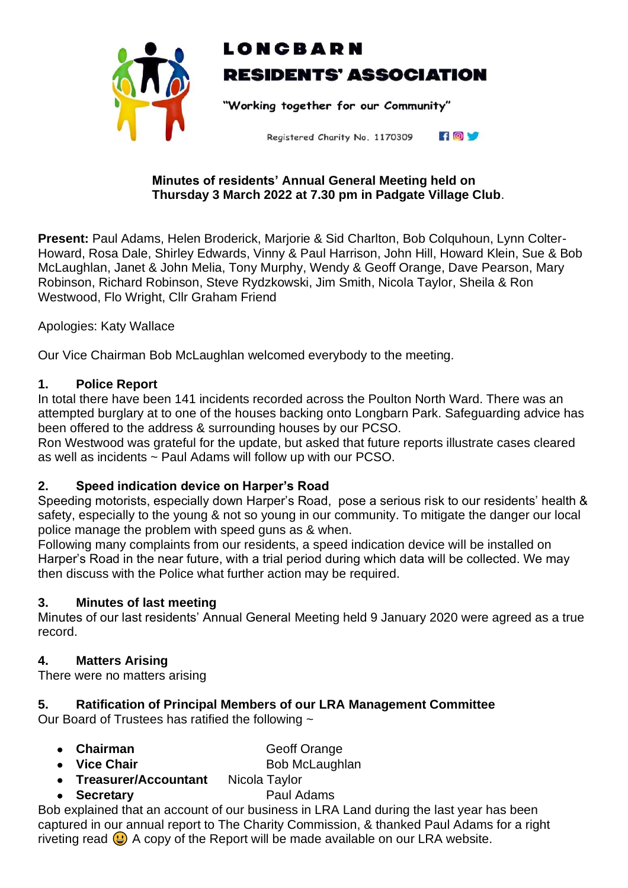

# LONCBARN **RESIDENTS' ASSOCIATION**

"Working together for our Community"

FOV Registered Charity No. 1170309

#### **Minutes of residents' Annual General Meeting held on Thursday 3 March 2022 at 7.30 pm in Padgate Village Club**.

**Present:** Paul Adams, Helen Broderick, Marjorie & Sid Charlton, Bob Colquhoun, Lynn Colter-Howard, Rosa Dale, Shirley Edwards, Vinny & Paul Harrison, John Hill, Howard Klein, Sue & Bob McLaughlan, Janet & John Melia, Tony Murphy, Wendy & Geoff Orange, Dave Pearson, Mary Robinson, Richard Robinson, Steve Rydzkowski, Jim Smith, Nicola Taylor, Sheila & Ron Westwood, Flo Wright, Cllr Graham Friend

Apologies: Katy Wallace

Our Vice Chairman Bob McLaughlan welcomed everybody to the meeting.

#### **1. Police Report**

In total there have been 141 incidents recorded across the Poulton North Ward. There was an attempted burglary at to one of the houses backing onto Longbarn Park. Safeguarding advice has been offered to the address & surrounding houses by our PCSO.

Ron Westwood was grateful for the update, but asked that future reports illustrate cases cleared as well as incidents ~ Paul Adams will follow up with our PCSO.

### **2. Speed indication device on Harper's Road**

Speeding motorists, especially down Harper's Road, pose a serious risk to our residents' health & safety, especially to the young & not so young in our community. To mitigate the danger our local police manage the problem with speed guns as & when.

Following many complaints from our residents, a speed indication device will be installed on Harper's Road in the near future, with a trial period during which data will be collected. We may then discuss with the Police what further action may be required.

#### **3. Minutes of last meeting**

Minutes of our last residents' Annual General Meeting held 9 January 2020 were agreed as a true record.

### **4. Matters Arising**

There were no matters arising

### **5. Ratification of Principal Members of our LRA Management Committee**

Our Board of Trustees has ratified the following ~

- **Chairman Geoff Orange**
- Vice Chair Bob McLaughlan
- **Treasurer/Accountant** Nicola Taylor
- **Secretary** Paul Adams

Bob explained that an account of our business in LRA Land during the last year has been captured in our annual report to The Charity Commission, & thanked Paul Adams for a right riveting read  $\bigoplus$  A copy of the Report will be made available on our LRA website.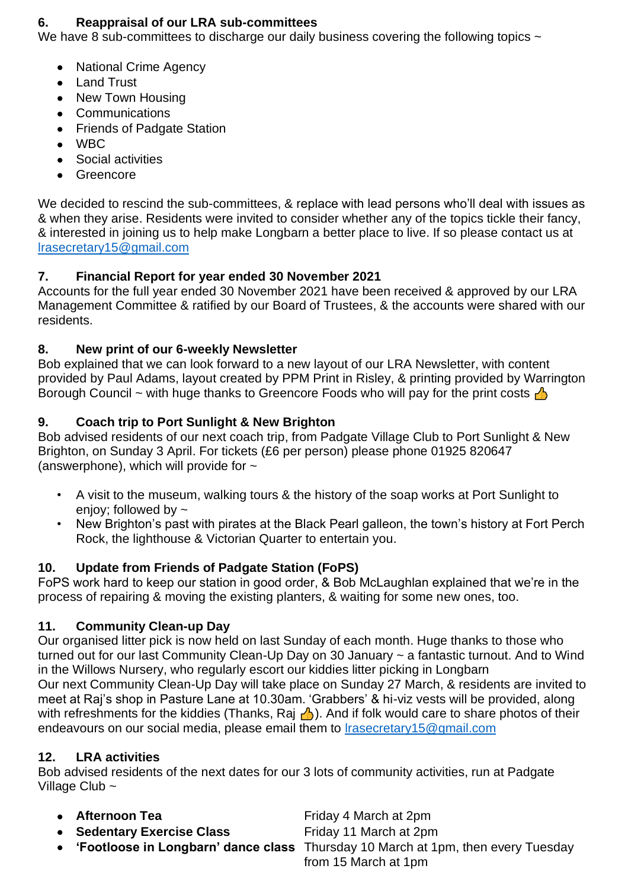### **6. Reappraisal of our LRA sub-committees**

We have 8 sub-committees to discharge our daily business covering the following topics  $\sim$ 

- National Crime Agency
- Land Trust
- New Town Housing
- Communications
- Friends of Padgate Station
- WBC
- Social activities
- **Greencore**

We decided to rescind the sub-committees, & replace with lead persons who'll deal with issues as & when they arise. Residents were invited to consider whether any of the topics tickle their fancy, & interested in joining us to help make Longbarn a better place to live. If so please contact us at [lrasecretary15@gmail.com](mailto:lrasecretary15@gmail.com)

# **7. Financial Report for year ended 30 November 2021**

Accounts for the full year ended 30 November 2021 have been received & approved by our LRA Management Committee & ratified by our Board of Trustees, & the accounts were shared with our residents.

## **8. New print of our 6-weekly Newsletter**

Bob explained that we can look forward to a new layout of our LRA Newsletter, with content provided by Paul Adams, layout created by PPM Print in Risley, & printing provided by Warrington Borough Council ~ with huge thanks to Greencore Foods who will pay for the print costs  $\triangle$ 

## **9. Coach trip to Port Sunlight & New Brighton**

Bob advised residents of our next coach trip, from Padgate Village Club to Port Sunlight & New Brighton, on Sunday 3 April. For tickets (£6 per person) please phone 01925 820647 (answerphone), which will provide for  $\sim$ 

- A visit to the museum, walking tours & the history of the soap works at Port Sunlight to enjoy; followed by ~
- New Brighton's past with pirates at the Black Pearl galleon, the town's history at Fort Perch Rock, the lighthouse & Victorian Quarter to entertain you.

# **10. Update from Friends of Padgate Station (FoPS)**

FoPS work hard to keep our station in good order, & Bob McLaughlan explained that we're in the process of repairing & moving the existing planters, & waiting for some new ones, too.

### **11. Community Clean-up Day**

Our organised litter pick is now held on last Sunday of each month. Huge thanks to those who turned out for our last Community Clean-Up Day on 30 January ~ a fantastic turnout. And to Wind in the Willows Nursery, who regularly escort our kiddies litter picking in Longbarn Our next Community Clean-Up Day will take place on Sunday 27 March, & residents are invited to meet at Raj's shop in Pasture Lane at 10.30am. 'Grabbers' & hi-viz vests will be provided, along with refreshments for the kiddies (Thanks, Raj  $\bigwedge$ ). And if folk would care to share photos of their endeavours on our social media, please email them to [lrasecretary15@gmail.com](mailto:lrasecretary15@gmail.com)

### **12. LRA activities**

Bob advised residents of the next dates for our 3 lots of community activities, run at Padgate Village Club ~

• **Afternoon Tea** Friday 4 March at 2pm

- **Sedentary Exercise Class** Friday 11 March at 2pm
	- **'Footloose in Longbarn' dance class** Thursday 10 March at 1pm, then every Tuesday from 15 March at 1pm